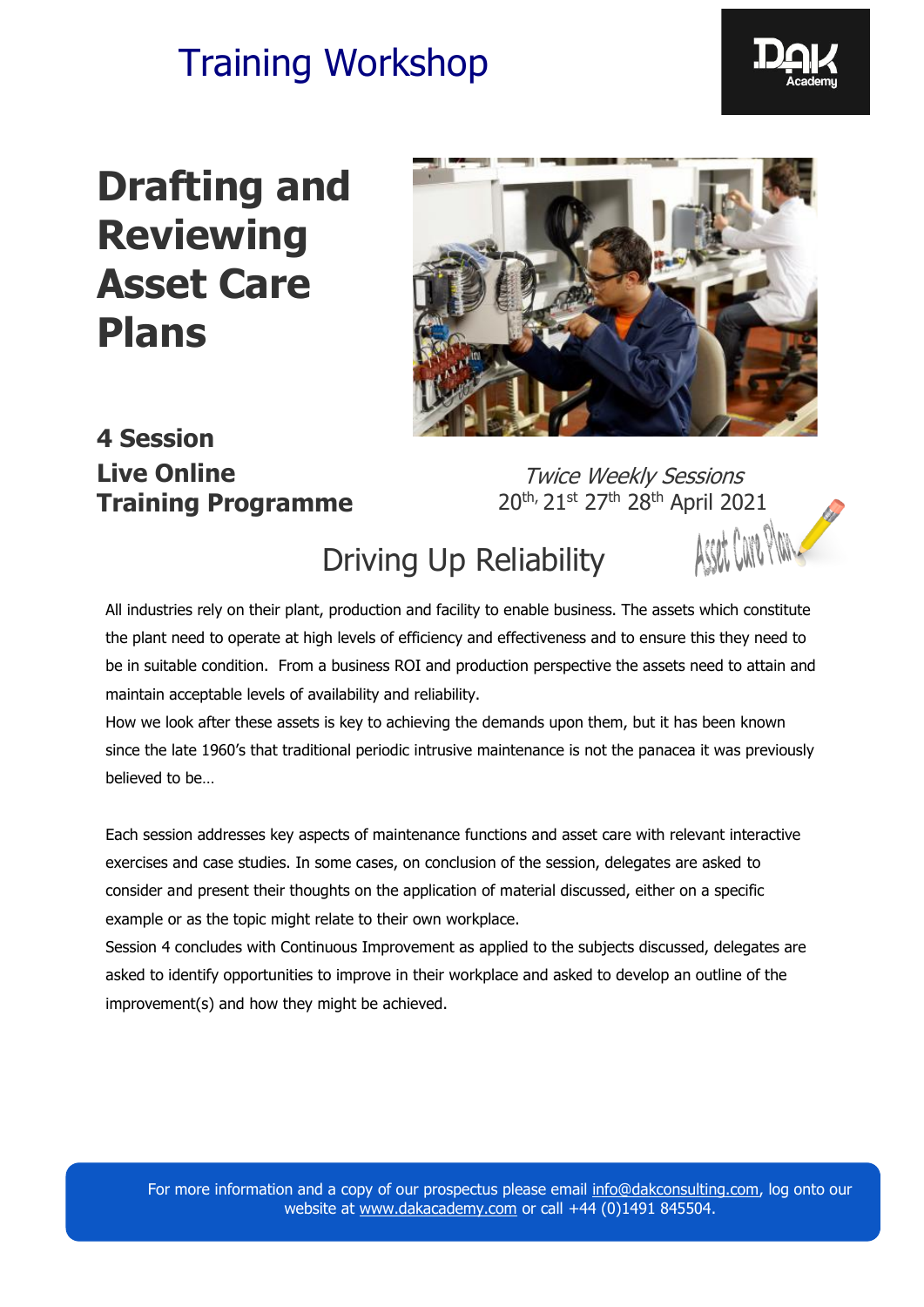

# **Drafting and Reviewing Asset Care Plans**



### **4 Session Live Online Training Programme**

Twice Weekly Sessions 20<sup>th,</sup> 21st 27<sup>th</sup> 28<sup>th</sup> April 2021

### Driving Up Reliability

All industries rely on their plant, production and facility to enable business. The assets which constitute the plant need to operate at high levels of efficiency and effectiveness and to ensure this they need to be in suitable condition. From a business ROI and production perspective the assets need to attain and maintain acceptable levels of availability and reliability.

How we look after these assets is key to achieving the demands upon them, but it has been known since the late 1960's that traditional periodic intrusive maintenance is not the panacea it was previously believed to be…

Each session addresses key aspects of maintenance functions and asset care with relevant interactive exercises and case studies. In some cases, on conclusion of the session, delegates are asked to consider and present their thoughts on the application of material discussed, either on a specific example or as the topic might relate to their own workplace.

Session 4 concludes with Continuous Improvement as applied to the subjects discussed, delegates are asked to identify opportunities to improve in their workplace and asked to develop an outline of the improvement(s) and how they might be achieved.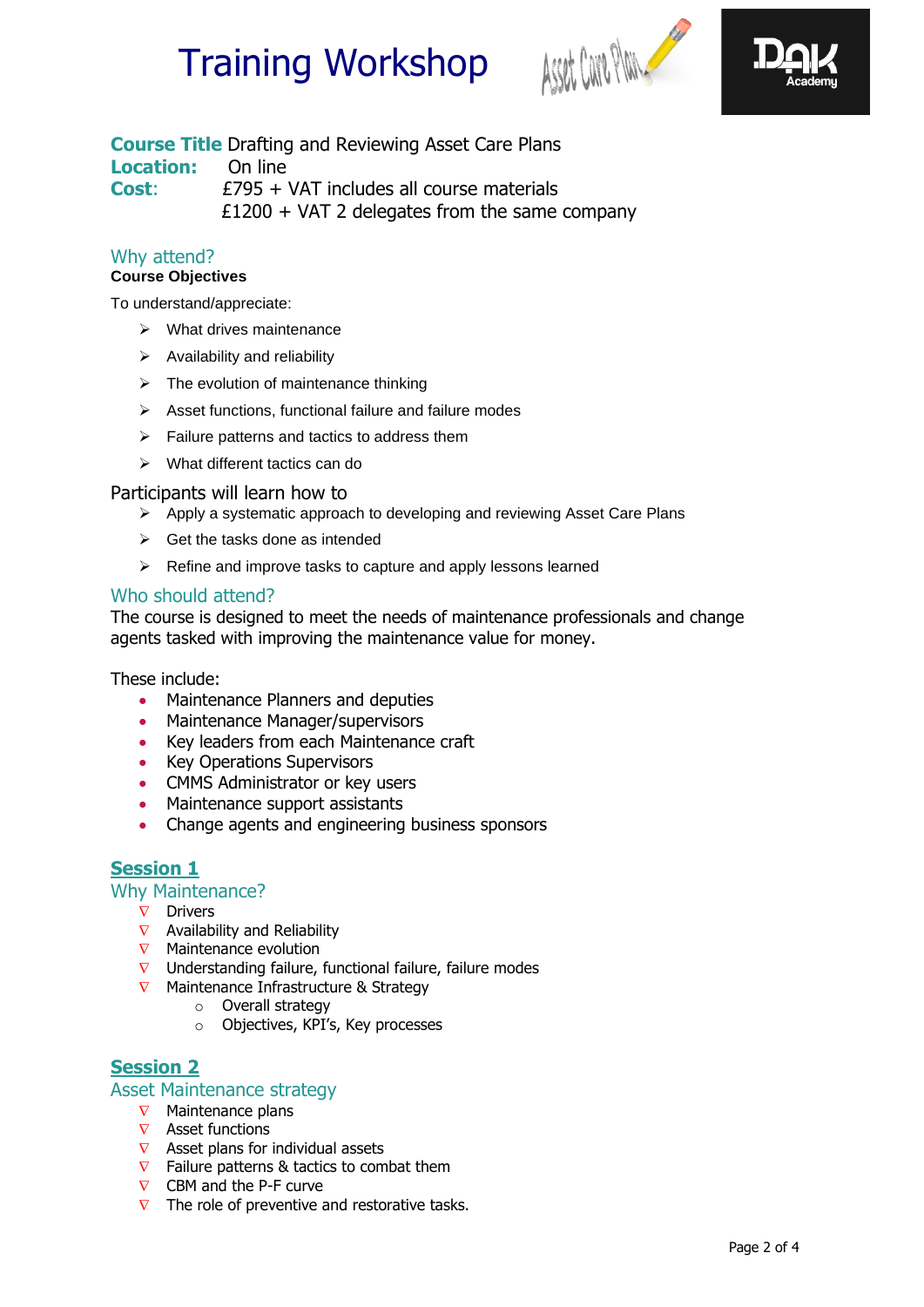



#### **Course Title** Drafting and Reviewing Asset Care Plans **Location:** On line **Cost**: £795 + VAT includes all course materials  $£1200 + VAT$  2 delegates from the same company

Why attend?

#### **Course Objectives**

To understand/appreciate:

- ➢ What drives maintenance
- ➢ Availability and reliability
- $\triangleright$  The evolution of maintenance thinking
- ➢ Asset functions, functional failure and failure modes
- $\triangleright$  Failure patterns and tactics to address them
- ➢ What different tactics can do

#### Participants will learn how to

- ➢ Apply a systematic approach to developing and reviewing Asset Care Plans
- $\triangleright$  Get the tasks done as intended
- ➢ Refine and improve tasks to capture and apply lessons learned

#### Who should attend?

The course is designed to meet the needs of maintenance professionals and change agents tasked with improving the maintenance value for money.

These include:

- Maintenance Planners and deputies
- Maintenance Manager/supervisors
- Key leaders from each Maintenance craft
- Key Operations Supervisors
- CMMS Administrator or key users
- Maintenance support assistants
- Change agents and engineering business sponsors

#### **Session 1**

#### Why Maintenance?

- $\nabla$  Drivers
- $\nabla$  Availability and Reliability
- $\nabla$  Maintenance evolution
- $\nabla$  Understanding failure, functional failure, failure modes
- $\nabla$  Maintenance Infrastructure & Strategy
	- o Overall strategy
	- o Objectives, KPI's, Key processes

#### **Session 2**

#### Asset Maintenance strategy

- $\nabla$  Maintenance plans
- $\nabla$  Asset functions
- $\nabla$  Asset plans for individual assets
- $\nabla$  Failure patterns & tactics to combat them
- $\nabla$  CBM and the P-F curve
- $\nabla$  The role of preventive and restorative tasks.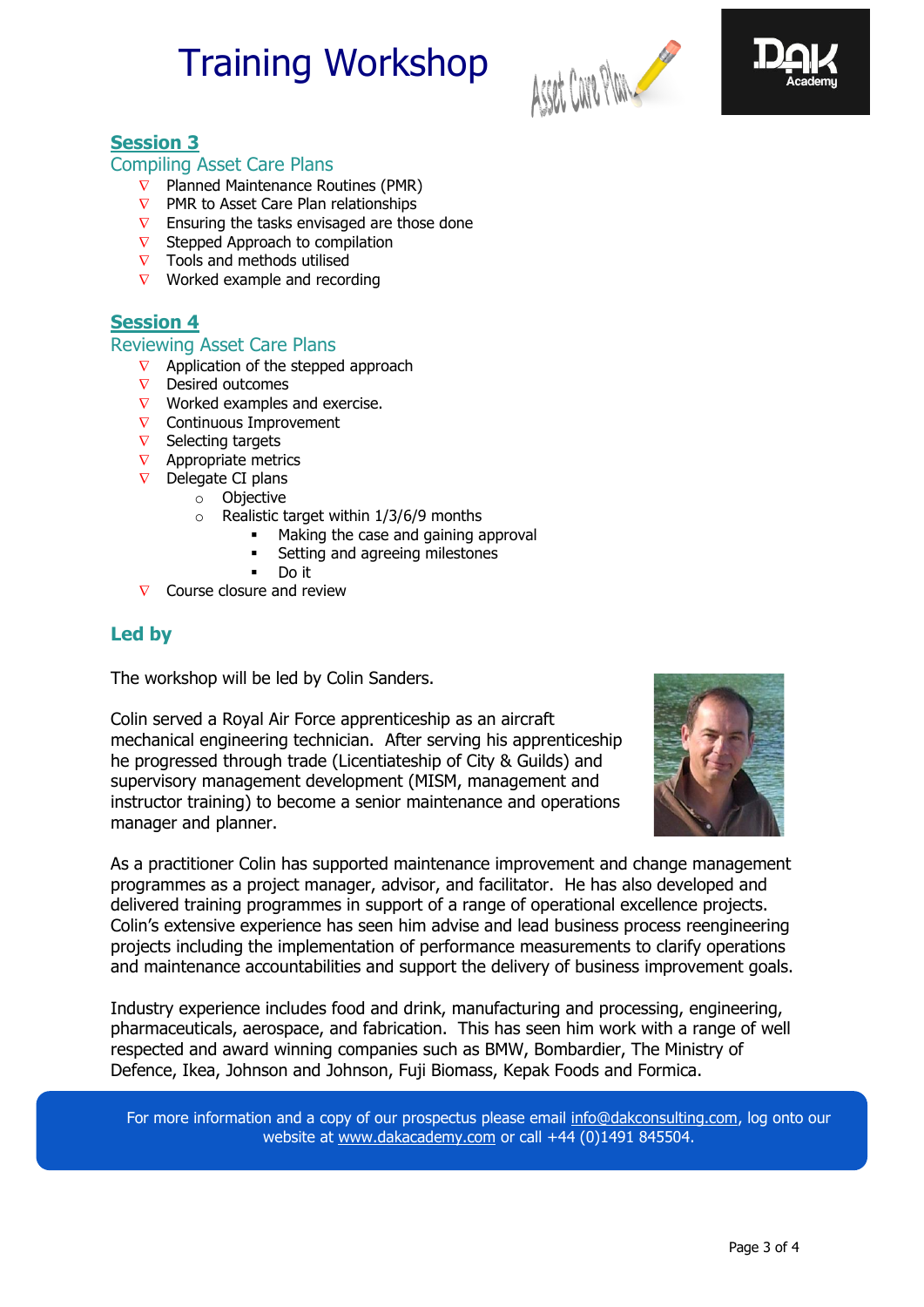



#### **Session 3**

#### Compiling Asset Care Plans

- $\nabla$  Planned Maintenance Routines (PMR)
- $\nabla$  PMR to Asset Care Plan relationships
- $\nabla$  Ensuring the tasks envisaged are those done
- $\nabla$  Stepped Approach to compilation
- $\nabla$  Tools and methods utilised
- $\nabla$  Worked example and recording

#### **Session 4**

#### Reviewing Asset Care Plans

- $\nabla$  Application of the stepped approach
- $\nabla$  Desired outcomes
- $\nabla$  Worked examples and exercise.
- $\nabla$  Continuous Improvement
- $\nabla$  Selecting targets
- $\nabla$  Appropriate metrics
- $\nabla$  Delegate CI plans
	- o Objective
	- $\circ$  Realistic target within 1/3/6/9 months
		- Making the case and gaining approval
			- Setting and agreeing milestones
		- Do it
- $\nabla$  Course closure and review

#### **Led by**

The workshop will be led by Colin Sanders.

Colin served a Royal Air Force apprenticeship as an aircraft mechanical engineering technician. After serving his apprenticeship he progressed through trade (Licentiateship of City & Guilds) and supervisory management development (MISM, management and instructor training) to become a senior maintenance and operations manager and planner.



As a practitioner Colin has supported maintenance improvement and change management programmes as a project manager, advisor, and facilitator. He has also developed and delivered training programmes in support of a range of operational excellence projects. Colin's extensive experience has seen him advise and lead business process reengineering projects including the implementation of performance measurements to clarify operations and maintenance accountabilities and support the delivery of business improvement goals.

Industry experience includes food and drink, manufacturing and processing, engineering, pharmaceuticals, aerospace, and fabrication. This has seen him work with a range of well respected and award winning companies such as BMW, Bombardier, The Ministry of Defence, Ikea, Johnson and Johnson, Fuji Biomass, Kepak Foods and Formica.

For more information and a copy of our prospectus please email [info@dakconsulting.com,](mailto:info@dakconsulting.co.uk) log onto our website at [www.dakacademy.com](http://www.dakacademy.com/) or call +44 (0)1491 845504.